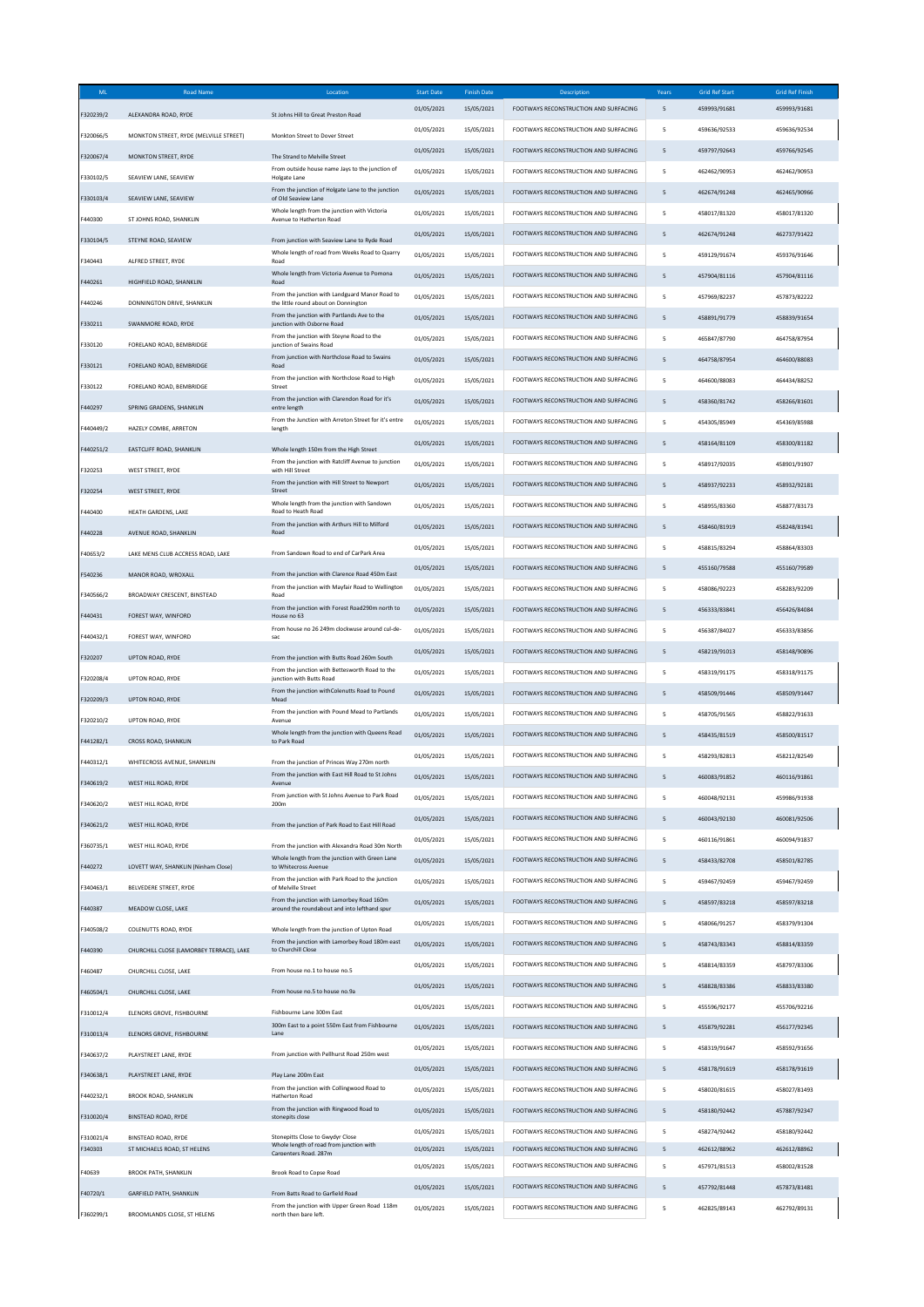| ML        | <b>Road Name</b>                         | Location                                                                                          | <b>Start Date</b> | <b>Finish Date</b> | <b>Description</b>                           | Years                    | <b>Grid Ref Start</b> | <b>Grid Ref Finish</b> |
|-----------|------------------------------------------|---------------------------------------------------------------------------------------------------|-------------------|--------------------|----------------------------------------------|--------------------------|-----------------------|------------------------|
| F320239/2 | ALEXANDRA ROAD, RYDE                     | St Johns Hill to Great Preston Road                                                               | 01/05/2021        | 15/05/2021         | FOOTWAYS RECONSTRUCTION AND SURFACING        | 5                        | 459993/91681          | 459993/91681           |
|           |                                          |                                                                                                   | 01/05/2021        | 15/05/2021         | FOOTWAYS RECONSTRUCTION AND SURFACING        | 5                        | 459636/92533          | 459636/92534           |
| F320066/5 | MONKTON STREET, RYDE (MELVILLE STREET)   | Monkton Street to Dover Street                                                                    | 01/05/2021        | 15/05/2021         | FOOTWAYS RECONSTRUCTION AND SURFACING        | 5                        | 459797/92643          | 459766/92545           |
| F320067/4 | <b>MONKTON STREET, RYDE</b>              | The Strand to Melville Street<br>From outside house name Jays to the junction of                  |                   |                    |                                              |                          |                       |                        |
| F330102/5 | SEAVIEW LANE, SEAVIEW                    | Holgate Lane                                                                                      | 01/05/2021        | 15/05/2021         | FOOTWAYS RECONSTRUCTION AND SURFACING        | 5                        | 462462/90953          | 462462/90953           |
| F330103/4 | SEAVIEW LANE, SEAVIEW                    | From the junction of Holgate Lane to the junction<br>of Old Seaview Lane                          | 01/05/2021        | 15/05/2021         | <b>FOOTWAYS RECONSTRUCTION AND SURFACING</b> | 5                        | 462674/91248          | 462465/90966           |
| F440300   | ST JOHNS ROAD, SHANKLIN                  | Whole length from the junction with Victoria<br>Avenue to Hatherton Road                          | 01/05/2021        | 15/05/2021         | FOOTWAYS RECONSTRUCTION AND SURFACING        | 5                        | 458017/81320          | 458017/81320           |
| F330104/5 | STEYNE ROAD, SEAVIEW                     | From junction with Seaview Lane to Ryde Road                                                      | 01/05/2021        | 15/05/2021         | FOOTWAYS RECONSTRUCTION AND SURFACING        | 5                        | 462674/91248          | 462737/91422           |
|           |                                          | Whole length of road from Weeks Road to Quarry<br>Road                                            | 01/05/2021        | 15/05/2021         | FOOTWAYS RECONSTRUCTION AND SURFACING        | 5                        | 459129/91674          | 459376/91646           |
| F340443   | ALFRED STREET, RYDE                      | Whole length from Victoria Avenue to Pomona                                                       | 01/05/2021        | 15/05/2021         | FOOTWAYS RECONSTRUCTION AND SURFACING        | $\overline{5}$           | 457904/81116          | 457904/81116           |
| F440261   | HIGHFIELD ROAD, SHANKLIN                 | Road<br>From the junction with Landguard Manor Road to                                            | 01/05/2021        | 15/05/2021         | FOOTWAYS RECONSTRUCTION AND SURFACING        | 5                        | 457969/82237          | 457873/82222           |
| F440246   | DONNINGTON DRIVE, SHANKLIN               | the little round about on Donnington<br>From the iunction with Partlands Ave to the               |                   |                    |                                              |                          |                       |                        |
| F330211   | SWANMORE ROAD, RYDE                      | junction with Osborne Road                                                                        | 01/05/2021        | 15/05/2021         | FOOTWAYS RECONSTRUCTION AND SURFACING        | 5                        | 458891/91779          | 458839/91654           |
| F330120   | FORELAND ROAD, BEMBRIDGE                 | From the junction with Steyne Road to the<br>junction of Swains Road                              | 01/05/2021        | 15/05/2021         | FOOTWAYS RECONSTRUCTION AND SURFACING        | 5                        | 465847/87790          | 464758/87954           |
| F330121   | FORELAND ROAD, BEMBRIDGE                 | From junction with Northclose Road to Swains<br>Road                                              | 01/05/2021        | 15/05/2021         | FOOTWAYS RECONSTRUCTION AND SURFACING        | $\overline{5}$           | 464758/87954          | 464600/88083           |
| F330122   | FORELAND ROAD, BEMBRIDGE                 | From the junction with Northclose Road to High<br>Street                                          | 01/05/2021        | 15/05/2021         | FOOTWAYS RECONSTRUCTION AND SURFACING        | 5                        | 464600/88083          | 464434/88252           |
|           |                                          | From the junction with Clarendon Road for it's                                                    | 01/05/2021        | 15/05/2021         | FOOTWAYS RECONSTRUCTION AND SURFACING        | 5                        | 458360/81742          | 458266/81601           |
| F440297   | SPRING GRADENS, SHANKLIN                 | entre length<br>From the Junction with Arreton Street for it's entre                              | 01/05/2021        | 15/05/2021         | FOOTWAYS RECONSTRUCTION AND SURFACING        | 5                        | 454305/85949          | 454369/85988           |
| F440449/2 | HAZELY COMBE, ARRETON                    | length                                                                                            |                   |                    | FOOTWAYS RECONSTRUCTION AND SURFACING        |                          |                       |                        |
| F440251/2 | EASTCLIFF ROAD, SHANKLIN                 | Whole length 150m from the High Street                                                            | 01/05/2021        | 15/05/2021         |                                              | $\mathsf S$              | 458164/81109          | 458300/81182           |
| F320253   | WEST STREET, RYDE                        | From the junction with Ratcliff Avenue to junction<br>with Hill Street                            | 01/05/2021        | 15/05/2021         | FOOTWAYS RECONSTRUCTION AND SURFACING        | 5                        | 458917/92035          | 458901/91907           |
| F320254   | <b>WEST STREET, RYDE</b>                 | From the junction with Hill Street to Newport<br>Street                                           | 01/05/2021        | 15/05/2021         | FOOTWAYS RECONSTRUCTION AND SURFACING        | 5                        | 458937/92233          | 458932/92181           |
| F440400   | HEATH GARDENS, LAKE                      | Whole length from the junction with Sandown<br>Road to Heath Road                                 | 01/05/2021        | 15/05/2021         | FOOTWAYS RECONSTRUCTION AND SURFACING        | 5                        | 458955/83360          | 458877/83173           |
|           | AVENUE ROAD, SHANKLIN                    | From the junction with Arthurs Hill to Milford<br>Road                                            | 01/05/2021        | 15/05/2021         | FOOTWAYS RECONSTRUCTION AND SURFACING        | $\mathsf S$              | 458460/81919          | 458248/81941           |
| F440228   |                                          |                                                                                                   | 01/05/2021        | 15/05/2021         | FOOTWAYS RECONSTRUCTION AND SURFACING        | 5                        | 458815/83294          | 458864/83303           |
| F40653/2  | LAKE MENS CLUB ACCRESS ROAD. LAKE        | From Sandown Road to end of CarPark Area                                                          | 01/05/2021        | 15/05/2021         | FOOTWAYS RECONSTRUCTION AND SURFACING        | 5                        | 455160/79588          | 455160/79589           |
| F540236   | MANOR ROAD, WROXALL                      | From the junction with Clarence Road 450m East                                                    |                   |                    |                                              |                          |                       |                        |
| F340566/2 | BROADWAY CRESCENT, BINSTEAD              | From the junction with Mayfair Road to Wellington<br>Road                                         | 01/05/2021        | 15/05/2021         | FOOTWAYS RECONSTRUCTION AND SURFACING        | 5                        | 458086/92223          | 458283/92209           |
| F440431   | FOREST WAY, WINFORD                      | From the junction with Forest Road290m north to<br>House no 63                                    | 01/05/2021        | 15/05/2021         | FOOTWAYS RECONSTRUCTION AND SURFACING        | 5                        | 456333/83841          | 456426/84084           |
| F440432/1 | FOREST WAY, WINFORD                      | From house no 26 249m clockwuse around cul-de-<br>sac                                             | 01/05/2021        | 15/05/2021         | FOOTWAYS RECONSTRUCTION AND SURFACING        | 5                        | 456387/84027          | 456333/83856           |
| F320207   | UPTON ROAD, RYDE                         | From the junction with Butts Road 260m South                                                      | 01/05/2021        | 15/05/2021         | FOOTWAYS RECONSTRUCTION AND SURFACING        | 5                        | 458219/91013          | 458148/90896           |
|           |                                          | From the junction with Bettesworth Road to the                                                    | 01/05/2021        | 15/05/2021         | FOOTWAYS RECONSTRUCTION AND SURFACING        | 5                        | 458319/91175          | 458318/91175           |
| F320208/4 | UPTON ROAD, RYDE                         | junction with Butts Road<br>From the junction withColenutts Road to Pound                         | 01/05/2021        | 15/05/2021         | FOOTWAYS RECONSTRUCTION AND SURFACING        | 5                        | 458509/91446          | 458509/91447           |
| F320209/3 | UPTON ROAD, RYDE                         | Mead<br>From the junction with Pound Mead to Partlands                                            |                   |                    |                                              |                          |                       |                        |
| F320210/2 | <b>UPTON ROAD, RYDE</b>                  | Avenue                                                                                            | 01/05/2021        | 15/05/2021         | FOOTWAYS RECONSTRUCTION AND SURFACING        | 5                        | 458705/91565          | 458822/91633           |
| F441282/1 | <b>CROSS ROAD, SHANKLIN</b>              | Whole length from the junction with Queens Road<br>to Park Road                                   | 01/05/2021        | 15/05/2021         | FOOTWAYS RECONSTRUCTION AND SURFACING        | 5                        | 458435/81519          | 458500/81517           |
| F440312/1 | WHITECROSS AVENUE, SHANKLIN              | From the junction of Princes Way 270m north                                                       | 01/05/2021        | 15/05/2021         | FOOTWAYS RECONSTRUCTION AND SURFACING        | 5                        | 458293/82813          | 458212/82549           |
| F340619/2 | WEST HILL ROAD, RYDE                     | From the junction with East Hill Road to St Johns<br>Avenue                                       | 01/05/2021        | 15/05/2021         | FOOTWAYS RECONSTRUCTION AND SURFACING        | 5                        | 460083/91852          | 460116/91861           |
| F340620/2 | WEST HILL ROAD, RYDE                     | From junction with St Johns Avenue to Park Road<br>200m                                           | 01/05/2021        | 15/05/2021         | <b>FOOTWAYS RECONSTRUCTION AND SURFACING</b> | 5                        | 460048/92131          | 459986/91938           |
|           |                                          |                                                                                                   | 01/05/2021        | 15/05/2021         | <b>EOOTWAYS RECONSTRUCTION AND SURFACING</b> | 5                        | 460043/92130          | 460081/92506           |
| F340621/2 | WEST HILL ROAD, RYDE                     | From the junction of Park Road to East Hill Road                                                  | 01/05/2021        | 15/05/2021         | FOOTWAYS RECONSTRUCTION AND SURFACING        | 5                        | 460116/91861          | 460094/91837           |
| F360735/1 | WEST HILL ROAD, RYDE                     | From the junction with Alexandra Road 30m North<br>Whole length from the junction with Green Lane |                   |                    |                                              |                          |                       |                        |
| F440272   | LOVETT WAY, SHANKLIN (Ninham Close)      | to Whitecross Avenue                                                                              | 01/05/2021        | 15/05/2021         | FOOTWAYS RECONSTRUCTION AND SURFACING        | $\overline{5}$           | 458433/82708          | 458501/82785           |
| F340463/1 | BELVEDERE STREET, RYDE                   | From the junction with Park Road to the junction<br>of Melville Street                            | 01/05/2021        | 15/05/2021         | FOOTWAYS RECONSTRUCTION AND SURFACING        | $\overline{\phantom{a}}$ | 459467/92459          | 459467/92459           |
| F440387   | MEADOW CLOSE, LAKE                       | From the junction with Lamorbey Road 160m<br>around the roundabout and into lefthand spur         | 01/05/2021        | 15/05/2021         | FOOTWAYS RECONSTRUCTION AND SURFACING        | $\overline{5}$           | 458597/83218          | 458597/83218           |
| F340508/2 | COLENUTTS ROAD, RYDE                     | Whole length from the junction of Upton Road                                                      | 01/05/2021        | 15/05/2021         | FOOTWAYS RECONSTRUCTION AND SURFACING        | $\overline{\phantom{a}}$ | 458066/91257          | 458379/91304           |
|           |                                          | From the junction with Lamorbey Road 180m east                                                    | 01/05/2021        | 15/05/2021         | FOOTWAYS RECONSTRUCTION AND SURFACING        | $\overline{5}$           | 458743/83343          | 458814/83359           |
| F440390   | CHURCHILL CLOSE (LAMORBEY TERRACE), LAKE | to Churchill Close                                                                                | 01/05/2021        | 15/05/2021         | FOOTWAYS RECONSTRUCTION AND SURFACING        | 5                        | 458814/83359          | 458797/83306           |
| F460487   | CHURCHILL CLOSE, LAKE                    | From house no.1 to house no.5                                                                     | 01/05/2021        | 15/05/2021         | FOOTWAYS RECONSTRUCTION AND SURFACING        | $\mathsf S$              | 458828/83386          | 458833/83380           |
| F460504/1 | CHURCHILL CLOSE, LAKE                    | From house no.5 to house no.9a                                                                    |                   |                    |                                              |                          |                       |                        |
| F310012/4 | ELENORS GROVE, FISHBOURNE                | Fishbourne Lane 300m East                                                                         | 01/05/2021        | 15/05/2021         | FOOTWAYS RECONSTRUCTION AND SURFACING        | $\overline{\phantom{a}}$ | 455596/92177          | 455706/92216           |
| F310013/4 | ELENORS GROVE, FISHBOURNE                | 300m East to a point 550m East from Fishbourne<br>Lane                                            | 01/05/2021        | 15/05/2021         | FOOTWAYS RECONSTRUCTION AND SURFACING        | 5                        | 455879/92281          | 456177/92345           |
| F340637/2 | PLAYSTREET LANE, RYDE                    | From junction with Pellhurst Road 250m west                                                       | 01/05/2021        | 15/05/2021         | FOOTWAYS RECONSTRUCTION AND SURFACING        | 5                        | 458319/91647          | 458592/91656           |
|           |                                          |                                                                                                   | 01/05/2021        | 15/05/2021         | FOOTWAYS RECONSTRUCTION AND SURFACING        | 5                        | 458178/91619          | 458178/91619           |
| F340638/1 | PLAYSTREET LANE, RYDE                    | Play Lane 200m East<br>From the junction with Collingwood Road to                                 | 01/05/2021        | 15/05/2021         | FOOTWAYS RECONSTRUCTION AND SURFACING        | $\overline{\phantom{a}}$ | 458020/81615          | 458027/81493           |
| F440232/1 | <b>BROOK ROAD, SHANKLIN</b>              | Hatherton Road<br>From the junction with Ringwood Road to                                         |                   |                    | FOOTWAYS RECONSTRUCTION AND SURFACING        | 5                        |                       |                        |
| F310020/4 | BINSTEAD ROAD, RYDE                      | stonepits close                                                                                   | 01/05/2021        | 15/05/2021         |                                              |                          | 458180/92442          | 457887/92347           |
| F310021/4 | BINSTEAD ROAD, RYDE                      | Stonepitts Close to Gwydyr Close<br>Whole length of road from junction with                       | 01/05/2021        | 15/05/2021         | FOOTWAYS RECONSTRUCTION AND SURFACING        | 5                        | 458274/92442          | 458180/92442           |
| F340303   | ST MICHAELS ROAD, ST HELENS              | Carpenters Road, 287m                                                                             | 01/05/2021        | 15/05/2021         | FOOTWAYS RECONSTRUCTION AND SURFACING        | 5                        | 462612/88962          | 462612/88962           |
| F40639    | <b>BROOK PATH, SHANKLIN</b>              | Brook Road to Copse Road                                                                          | 01/05/2021        | 15/05/2021         | FOOTWAYS RECONSTRUCTION AND SURFACING        | 5                        | 457971/81513          | 458002/81528           |
| F40720/1  | GARFIELD PATH, SHANKLIN                  | From Batts Road to Garfield Road                                                                  | 01/05/2021        | 15/05/2021         | FOOTWAYS RECONSTRUCTION AND SURFACING        | 5                        | 457792/81448          | 457873/81481           |
| F360299/1 | BROOMLANDS CLOSE, ST HELENS              | From the junction with Upper Green Road 118m<br>north then bare left.                             | 01/05/2021        | 15/05/2021         | FOOTWAYS RECONSTRUCTION AND SURFACING        | 5                        | 462825/89143          | 462792/89131           |